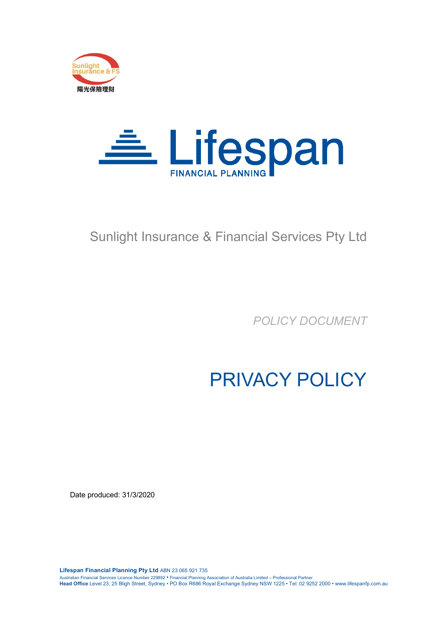



# Sunlight Insurance & Financial Services Pty Ltd

*POLICY DOCUMENT*

PRIVACY POLICY

Date produced: 31/3/2020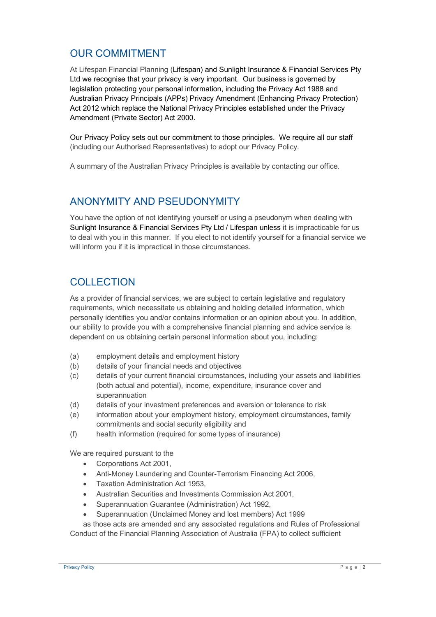#### OUR COMMITMENT

At Lifespan Financial Planning (Lifespan) and Sunlight Insurance & Financial Services Pty Ltd we recognise that your privacy is very important. Our business is governed by legislation protecting your personal information, including the Privacy Act 1988 and Australian Privacy Principals (APPs) Privacy Amendment (Enhancing Privacy Protection) Act 2012 which replace the National Privacy Principles established under the Privacy Amendment (Private Sector) Act 2000.

Our Privacy Policy sets out our commitment to those principles. We require all our staff (including our Authorised Representatives) to adopt our Privacy Policy.

A summary of the Australian Privacy Principles is available by contacting our office.

#### ANONYMITY AND PSEUDONYMITY

You have the option of not identifying yourself or using a pseudonym when dealing with Sunlight Insurance & Financial Services Pty Ltd / Lifespan unless it is impracticable for us to deal with you in this manner. If you elect to not identify yourself for a financial service we will inform you if it is impractical in those circumstances.

#### **COLLECTION**

As a provider of financial services, we are subject to certain legislative and regulatory requirements, which necessitate us obtaining and holding detailed information, which personally identifies you and/or contains information or an opinion about you. In addition, our ability to provide you with a comprehensive financial planning and advice service is dependent on us obtaining certain personal information about you, including:

- (a) employment details and employment history
- (b) details of your financial needs and objectives
- (c) details of your current financial circumstances, including your assets and liabilities (both actual and potential), income, expenditure, insurance cover and superannuation
- (d) details of your investment preferences and aversion or tolerance to risk
- (e) information about your employment history, employment circumstances, family commitments and social security eligibility and
- (f) health information (required for some types of insurance)

We are required pursuant to the

- Corporations Act 2001,
- Anti-Money Laundering and Counter-Terrorism Financing Act 2006,
- Taxation Administration Act 1953,
- Australian Securities and Investments Commission Act 2001,
- Superannuation Guarantee (Administration) Act 1992,
- Superannuation (Unclaimed Money and lost members) Act 1999

as those acts are amended and any associated regulations and Rules of Professional Conduct of the Financial Planning Association of Australia (FPA) to collect sufficient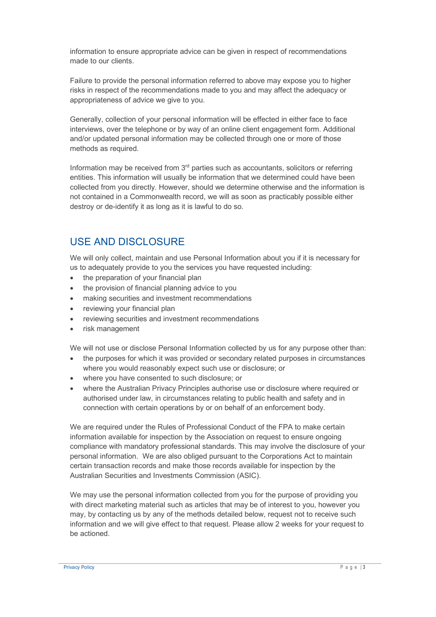information to ensure appropriate advice can be given in respect of recommendations made to our clients.

Failure to provide the personal information referred to above may expose you to higher risks in respect of the recommendations made to you and may affect the adequacy or appropriateness of advice we give to you.

Generally, collection of your personal information will be effected in either face to face interviews, over the telephone or by way of an online client engagement form. Additional and/or updated personal information may be collected through one or more of those methods as required.

Information may be received from  $3<sup>rd</sup>$  parties such as accountants, solicitors or referring entities. This information will usually be information that we determined could have been collected from you directly. However, should we determine otherwise and the information is not contained in a Commonwealth record, we will as soon as practicably possible either destroy or de-identify it as long as it is lawful to do so.

## USE AND DISCLOSURE

We will only collect, maintain and use Personal Information about you if it is necessary for us to adequately provide to you the services you have requested including:

- the preparation of your financial plan
- the provision of financial planning advice to you
- making securities and investment recommendations
- reviewing your financial plan
- reviewing securities and investment recommendations
- risk management

We will not use or disclose Personal Information collected by us for any purpose other than:

- the purposes for which it was provided or secondary related purposes in circumstances where you would reasonably expect such use or disclosure; or
- where you have consented to such disclosure; or
- where the Australian Privacy Principles authorise use or disclosure where required or authorised under law, in circumstances relating to public health and safety and in connection with certain operations by or on behalf of an enforcement body.

We are required under the Rules of Professional Conduct of the FPA to make certain information available for inspection by the Association on request to ensure ongoing compliance with mandatory professional standards. This may involve the disclosure of your personal information. We are also obliged pursuant to the Corporations Act to maintain certain transaction records and make those records available for inspection by the Australian Securities and Investments Commission (ASIC).

We may use the personal information collected from you for the purpose of providing you with direct marketing material such as articles that may be of interest to you, however you may, by contacting us by any of the methods detailed below, request not to receive such information and we will give effect to that request. Please allow 2 weeks for your request to be actioned.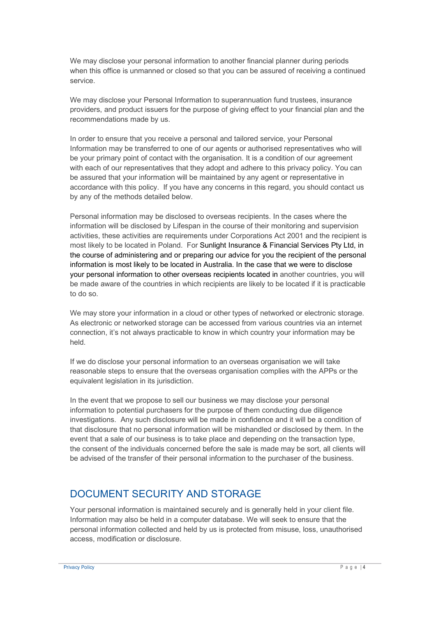We may disclose your personal information to another financial planner during periods when this office is unmanned or closed so that you can be assured of receiving a continued service.

We may disclose your Personal Information to superannuation fund trustees, insurance providers, and product issuers for the purpose of giving effect to your financial plan and the recommendations made by us.

In order to ensure that you receive a personal and tailored service, your Personal Information may be transferred to one of our agents or authorised representatives who will be your primary point of contact with the organisation. It is a condition of our agreement with each of our representatives that they adopt and adhere to this privacy policy. You can be assured that your information will be maintained by any agent or representative in accordance with this policy. If you have any concerns in this regard, you should contact us by any of the methods detailed below.

Personal information may be disclosed to overseas recipients. In the cases where the information will be disclosed by Lifespan in the course of their monitoring and supervision activities, these activities are requirements under Corporations Act 2001 and the recipient is most likely to be located in Poland. For Sunlight Insurance & Financial Services Pty Ltd, in the course of administering and or preparing our advice for you the recipient of the personal information is most likely to be located in Australia. In the case that we were to disclose your personal information to other overseas recipients located in another countries, you will be made aware of the countries in which recipients are likely to be located if it is practicable to do so.

We may store your information in a cloud or other types of networked or electronic storage. As electronic or networked storage can be accessed from various countries via an internet connection, it's not always practicable to know in which country your information may be held.

If we do disclose your personal information to an overseas organisation we will take reasonable steps to ensure that the overseas organisation complies with the APPs or the equivalent legislation in its jurisdiction.

In the event that we propose to sell our business we may disclose your personal information to potential purchasers for the purpose of them conducting due diligence investigations. Any such disclosure will be made in confidence and it will be a condition of that disclosure that no personal information will be mishandled or disclosed by them. In the event that a sale of our business is to take place and depending on the transaction type, the consent of the individuals concerned before the sale is made may be sort, all clients will be advised of the transfer of their personal information to the purchaser of the business.

#### DOCUMENT SECURITY AND STORAGE

Your personal information is maintained securely and is generally held in your client file. Information may also be held in a computer database. We will seek to ensure that the personal information collected and held by us is protected from misuse, loss, unauthorised access, modification or disclosure.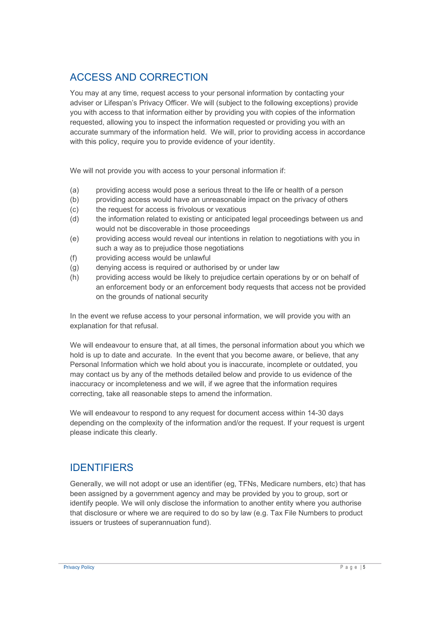## ACCESS AND CORRECTION

You may at any time, request access to your personal information by contacting your adviser or Lifespan's Privacy Officer. We will (subject to the following exceptions) provide you with access to that information either by providing you with copies of the information requested, allowing you to inspect the information requested or providing you with an accurate summary of the information held. We will, prior to providing access in accordance with this policy, require you to provide evidence of your identity.

We will not provide you with access to your personal information if:

- (a) providing access would pose a serious threat to the life or health of a person
- (b) providing access would have an unreasonable impact on the privacy of others
- (c) the request for access is frivolous or vexatious
- (d) the information related to existing or anticipated legal proceedings between us and would not be discoverable in those proceedings
- (e) providing access would reveal our intentions in relation to negotiations with you in such a way as to prejudice those negotiations
- (f) providing access would be unlawful
- (g) denying access is required or authorised by or under law
- (h) providing access would be likely to prejudice certain operations by or on behalf of an enforcement body or an enforcement body requests that access not be provided on the grounds of national security

In the event we refuse access to your personal information, we will provide you with an explanation for that refusal.

We will endeavour to ensure that, at all times, the personal information about you which we hold is up to date and accurate. In the event that you become aware, or believe, that any Personal Information which we hold about you is inaccurate, incomplete or outdated, you may contact us by any of the methods detailed below and provide to us evidence of the inaccuracy or incompleteness and we will, if we agree that the information requires correcting, take all reasonable steps to amend the information.

We will endeavour to respond to any request for document access within 14-30 days depending on the complexity of the information and/or the request. If your request is urgent please indicate this clearly.

## IDENTIFIERS

Generally, we will not adopt or use an identifier (eg, TFNs, Medicare numbers, etc) that has been assigned by a government agency and may be provided by you to group, sort or identify people. We will only disclose the information to another entity where you authorise that disclosure or where we are required to do so by law (e.g. Tax File Numbers to product issuers or trustees of superannuation fund).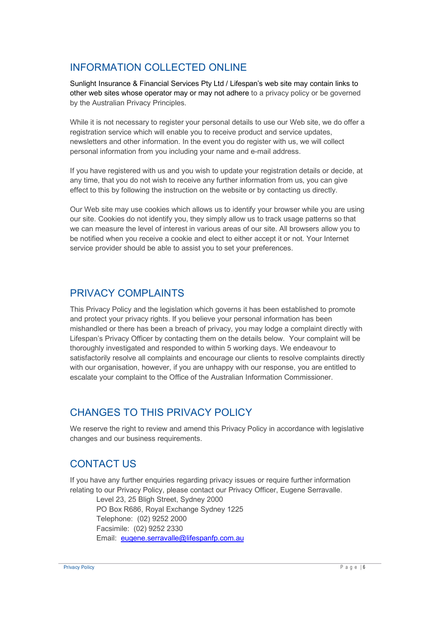# INFORMATION COLLECTED ONLINE

Sunlight Insurance & Financial Services Pty Ltd / Lifespan's web site may contain links to other web sites whose operator may or may not adhere to a privacy policy or be governed by the Australian Privacy Principles.

While it is not necessary to register your personal details to use our Web site, we do offer a registration service which will enable you to receive product and service updates, newsletters and other information. In the event you do register with us, we will collect personal information from you including your name and e-mail address.

If you have registered with us and you wish to update your registration details or decide, at any time, that you do not wish to receive any further information from us, you can give effect to this by following the instruction on the website or by contacting us directly.

Our Web site may use cookies which allows us to identify your browser while you are using our site. Cookies do not identify you, they simply allow us to track usage patterns so that we can measure the level of interest in various areas of our site. All browsers allow you to be notified when you receive a cookie and elect to either accept it or not. Your Internet service provider should be able to assist you to set your preferences.

#### PRIVACY COMPLAINTS

This Privacy Policy and the legislation which governs it has been established to promote and protect your privacy rights. If you believe your personal information has been mishandled or there has been a breach of privacy, you may lodge a complaint directly with Lifespan's Privacy Officer by contacting them on the details below. Your complaint will be thoroughly investigated and responded to within 5 working days. We endeavour to satisfactorily resolve all complaints and encourage our clients to resolve complaints directly with our organisation, however, if you are unhappy with our response, you are entitled to escalate your complaint to the Office of the Australian Information Commissioner.

## CHANGES TO THIS PRIVACY POLICY

We reserve the right to review and amend this Privacy Policy in accordance with legislative changes and our business requirements.

# CONTACT US

If you have any further enquiries regarding privacy issues or require further information relating to our Privacy Policy, please contact our Privacy Officer, Eugene Serravalle.

Level 23, 25 Bligh Street, Sydney 2000 PO Box R686, Royal Exchange Sydney 1225 Telephone: (02) 9252 2000 Facsimile: (02) 9252 2330 Email: eugene.serravalle@lifespanfp.com.au